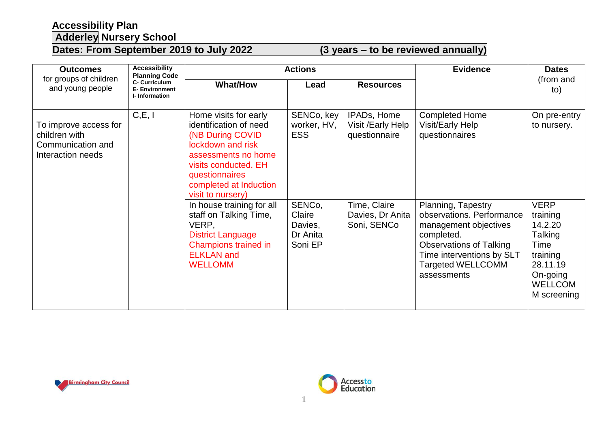## **Accessibility Plan Adderley Nursery School**

## **Dates: From September 2019 to July 2022 (3 years – to be reviewed annually)**

| <b>Outcomes</b>                                                                  | <b>Accessibility</b><br><b>Planning Code</b><br><b>C- Curriculum</b><br><b>E- Environment</b><br>I-Information | <b>Actions</b>                                                                                                                                                                                           |                                                    |                                                   | <b>Evidence</b>                                                                                                                                                                                  | <b>Dates</b>                                                                                                               |
|----------------------------------------------------------------------------------|----------------------------------------------------------------------------------------------------------------|----------------------------------------------------------------------------------------------------------------------------------------------------------------------------------------------------------|----------------------------------------------------|---------------------------------------------------|--------------------------------------------------------------------------------------------------------------------------------------------------------------------------------------------------|----------------------------------------------------------------------------------------------------------------------------|
| for groups of children<br>and young people                                       |                                                                                                                | <b>What/How</b>                                                                                                                                                                                          | Lead                                               | <b>Resources</b>                                  |                                                                                                                                                                                                  | (from and<br>to)                                                                                                           |
| To improve access for<br>children with<br>Communication and<br>Interaction needs | C, E, I                                                                                                        | Home visits for early<br>identification of need<br>(NB During COVID<br>lockdown and risk<br>assessments no home<br>visits conducted. EH<br>questionnaires<br>completed at Induction<br>visit to nursery) | SENCo, key<br>worker, HV,<br><b>ESS</b>            | IPADs, Home<br>Visit /Early Help<br>questionnaire | <b>Completed Home</b><br><b>Visit/Early Help</b><br>questionnaires                                                                                                                               | On pre-entry<br>to nursery.                                                                                                |
|                                                                                  |                                                                                                                | In house training for all<br>staff on Talking Time,<br>VERP,<br><b>District Language</b><br>Champions trained in<br><b>ELKLAN</b> and<br><b>WELLOMM</b>                                                  | SENCo,<br>Claire<br>Davies,<br>Dr Anita<br>Soni EP | Time, Claire<br>Davies, Dr Anita<br>Soni, SENCo   | Planning, Tapestry<br>observations. Performance<br>management objectives<br>completed.<br><b>Observations of Talking</b><br>Time interventions by SLT<br><b>Targeted WELLCOMM</b><br>assessments | <b>VERP</b><br>training<br>14.2.20<br>Talking<br>Time<br>training<br>28.11.19<br>On-going<br><b>WELLCOM</b><br>M screening |



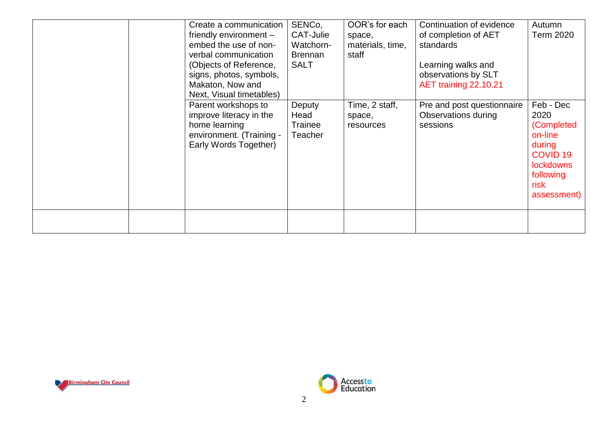|  | Create a communication<br>friendly environment $-$<br>embed the use of non-<br>verbal communication<br>(Objects of Reference,<br>signs, photos, symbols,<br>Makaton, Now and<br>Next, Visual timetables) | SENCo,<br>CAT-Julie<br>Watchorn-<br><b>Brennan</b><br><b>SALT</b> | OOR's for each<br>space,<br>materials, time,<br>staff | Continuation of evidence<br>of completion of AET<br>standards<br>Learning walks and<br>observations by SLT<br>AET training 22.10.21 | Autumn<br><b>Term 2020</b>                                                                                                                |
|--|----------------------------------------------------------------------------------------------------------------------------------------------------------------------------------------------------------|-------------------------------------------------------------------|-------------------------------------------------------|-------------------------------------------------------------------------------------------------------------------------------------|-------------------------------------------------------------------------------------------------------------------------------------------|
|  | Parent workshops to<br>improve literacy in the<br>home learning<br>environment. (Training -<br>Early Words Together)                                                                                     | Deputy<br>Head<br><b>Trainee</b><br>Teacher                       | Time, 2 staff,<br>space,<br>resources                 | Pre and post questionnaire<br>Observations during<br>sessions                                                                       | Feb - Dec<br>2020<br>(Completed<br>on-line<br>during<br><b>COVID<sub>19</sub></b><br><b>lockdowns</b><br>following<br>risk<br>assessment) |
|  |                                                                                                                                                                                                          |                                                                   |                                                       |                                                                                                                                     |                                                                                                                                           |



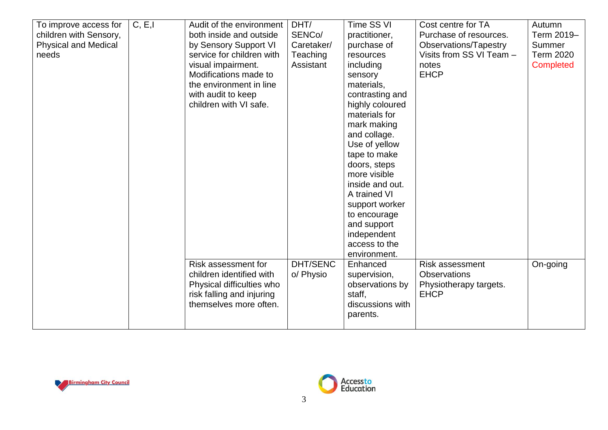| To improve access for<br>children with Sensory,<br><b>Physical and Medical</b><br>needs | C, E, I | Audit of the environment<br>both inside and outside<br>by Sensory Support VI<br>service for children with<br>visual impairment.<br>Modifications made to<br>the environment in line<br>with audit to keep<br>children with VI safe. | DHT/<br>SENCo/<br>Caretaker/<br>Teaching<br>Assistant | Time SS VI<br>practitioner,<br>purchase of<br>resources<br>including<br>sensory<br>materials,<br>contrasting and<br>highly coloured<br>materials for<br>mark making<br>and collage.<br>Use of yellow<br>tape to make<br>doors, steps<br>more visible<br>inside and out.<br>A trained VI<br>support worker<br>to encourage<br>and support<br>independent<br>access to the<br>environment. | Cost centre for TA<br>Purchase of resources.<br>Observations/Tapestry<br>Visits from SS VI Team -<br>notes<br><b>EHCP</b> | Autumn<br>Term 2019-<br>Summer<br><b>Term 2020</b><br>Completed |
|-----------------------------------------------------------------------------------------|---------|-------------------------------------------------------------------------------------------------------------------------------------------------------------------------------------------------------------------------------------|-------------------------------------------------------|------------------------------------------------------------------------------------------------------------------------------------------------------------------------------------------------------------------------------------------------------------------------------------------------------------------------------------------------------------------------------------------|---------------------------------------------------------------------------------------------------------------------------|-----------------------------------------------------------------|
|                                                                                         |         | Risk assessment for<br>children identified with<br>Physical difficulties who<br>risk falling and injuring<br>themselves more often.                                                                                                 | <b>DHT/SENC</b><br>o/ Physio                          | Enhanced<br>supervision,<br>observations by<br>staff,<br>discussions with<br>parents.                                                                                                                                                                                                                                                                                                    | <b>Risk assessment</b><br><b>Observations</b><br>Physiotherapy targets.<br><b>EHCP</b>                                    | On-going                                                        |



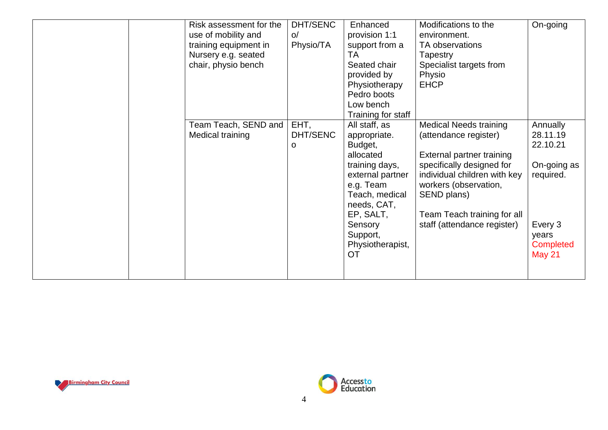| Risk assessment for the<br>use of mobility and<br>training equipment in<br>Nursery e.g. seated<br>chair, physio bench | DHT/SENC<br>O<br>Physio/TA | Enhanced<br>provision 1:1<br>support from a<br>ТA<br>Seated chair<br>provided by<br>Physiotherapy<br>Pedro boots<br>Low bench<br>Training for staff                                                     | Modifications to the<br>environment.<br>TA observations<br>Tapestry<br>Specialist targets from<br>Physio<br><b>EHCP</b>                                                                                                                                | On-going                                                                                                              |
|-----------------------------------------------------------------------------------------------------------------------|----------------------------|---------------------------------------------------------------------------------------------------------------------------------------------------------------------------------------------------------|--------------------------------------------------------------------------------------------------------------------------------------------------------------------------------------------------------------------------------------------------------|-----------------------------------------------------------------------------------------------------------------------|
| Team Teach, SEND and<br>Medical training                                                                              | EHT,<br>DHT/SENC<br>O      | All staff, as<br>appropriate.<br>Budget,<br>allocated<br>training days,<br>external partner<br>e.g. Team<br>Teach, medical<br>needs, CAT,<br>EP, SALT,<br>Sensory<br>Support,<br>Physiotherapist,<br>OT | <b>Medical Needs training</b><br>(attendance register)<br>External partner training<br>specifically designed for<br>individual children with key<br>workers (observation,<br>SEND plans)<br>Team Teach training for all<br>staff (attendance register) | Annually<br>28.11.19<br>22.10.21<br>On-going as<br>required.<br>Every 3<br>years<br><b>Completed</b><br><b>May 21</b> |